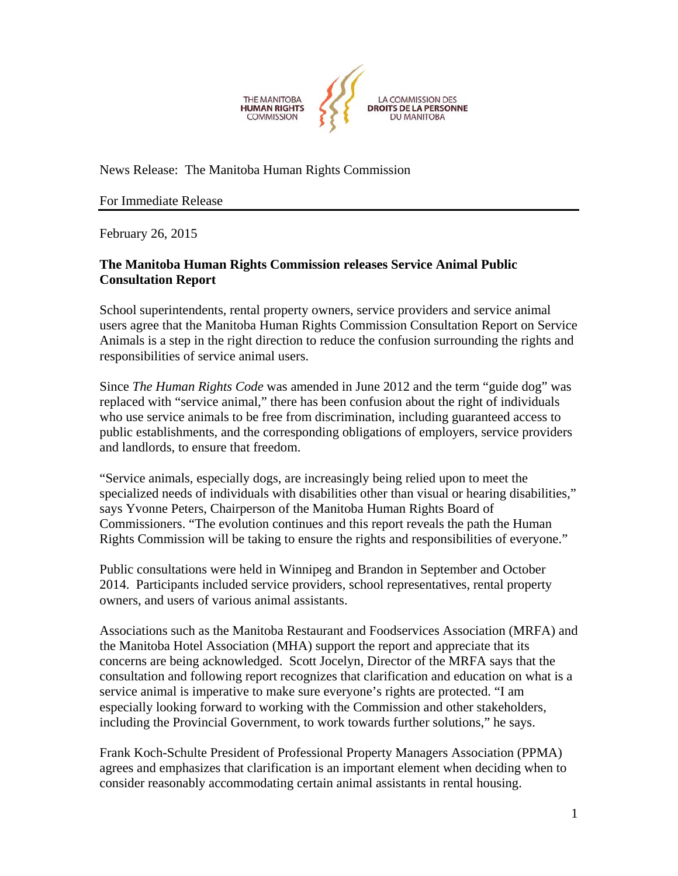

News Release: The Manitoba Human Rights Commission

For Immediate Release

February 26, 2015

## **The Manitoba Human Rights Commission releases Service Animal Public Consultation Report**

School superintendents, rental property owners, service providers and service animal users agree that the Manitoba Human Rights Commission Consultation Report on Service Animals is a step in the right direction to reduce the confusion surrounding the rights and responsibilities of service animal users.

Since *The Human Rights Code* was amended in June 2012 and the term "guide dog" was replaced with "service animal," there has been confusion about the right of individuals who use service animals to be free from discrimination, including guaranteed access to public establishments, and the corresponding obligations of employers, service providers and landlords, to ensure that freedom.

"Service animals, especially dogs, are increasingly being relied upon to meet the specialized needs of individuals with disabilities other than visual or hearing disabilities," says Yvonne Peters, Chairperson of the Manitoba Human Rights Board of Commissioners. "The evolution continues and this report reveals the path the Human Rights Commission will be taking to ensure the rights and responsibilities of everyone."

Public consultations were held in Winnipeg and Brandon in September and October 2014. Participants included service providers, school representatives, rental property owners, and users of various animal assistants.

Associations such as the Manitoba Restaurant and Foodservices Association (MRFA) and the Manitoba Hotel Association (MHA) support the report and appreciate that its concerns are being acknowledged. Scott Jocelyn, Director of the MRFA says that the consultation and following report recognizes that clarification and education on what is a service animal is imperative to make sure everyone's rights are protected. "I am especially looking forward to working with the Commission and other stakeholders, including the Provincial Government, to work towards further solutions," he says.

Frank Koch-Schulte President of Professional Property Managers Association (PPMA) agrees and emphasizes that clarification is an important element when deciding when to consider reasonably accommodating certain animal assistants in rental housing.